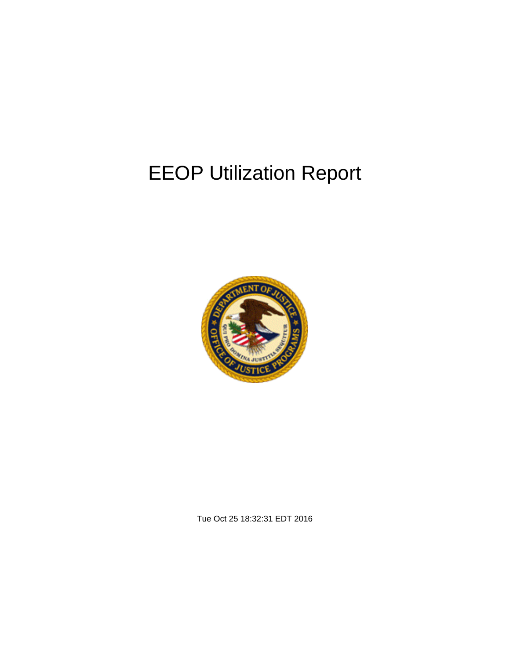# EEOP Utilization Report



Tue Oct 25 18:32:31 EDT 2016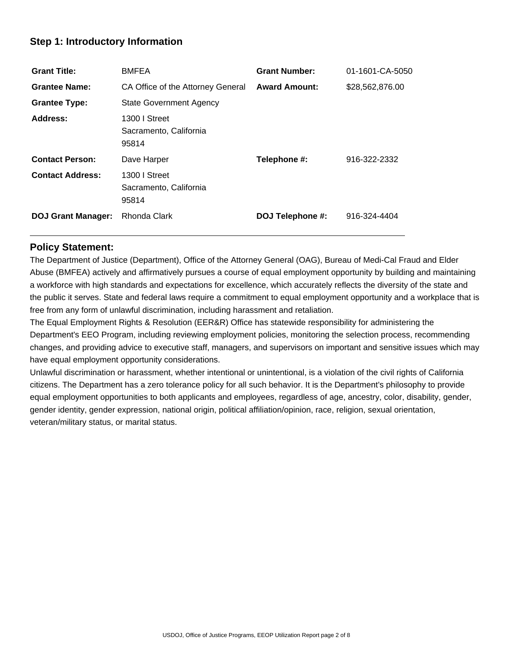## **Step 1: Introductory Information**

| <b>Grant Title:</b>       | <b>BMFEA</b>                                     | <b>Grant Number:</b> | 01-1601-CA-5050 |
|---------------------------|--------------------------------------------------|----------------------|-----------------|
| <b>Grantee Name:</b>      | CA Office of the Attorney General                | <b>Award Amount:</b> | \$28,562,876.00 |
| <b>Grantee Type:</b>      | <b>State Government Agency</b>                   |                      |                 |
| Address:                  | 1300 I Street<br>Sacramento, California<br>95814 |                      |                 |
| <b>Contact Person:</b>    | Dave Harper                                      | Telephone #:         | 916-322-2332    |
| <b>Contact Address:</b>   | 1300 I Street<br>Sacramento, California<br>95814 |                      |                 |
| <b>DOJ Grant Manager:</b> | Rhonda Clark                                     | DOJ Telephone #:     | 916-324-4404    |

## **Policy Statement:**

The Department of Justice (Department), Office of the Attorney General (OAG), Bureau of Medi-Cal Fraud and Elder Abuse (BMFEA) actively and affirmatively pursues a course of equal employment opportunity by building and maintaining a workforce with high standards and expectations for excellence, which accurately reflects the diversity of the state and the public it serves. State and federal laws require a commitment to equal employment opportunity and a workplace that is free from any form of unlawful discrimination, including harassment and retaliation.

The Equal Employment Rights & Resolution (EER&R) Office has statewide responsibility for administering the Department's EEO Program, including reviewing employment policies, monitoring the selection process, recommending changes, and providing advice to executive staff, managers, and supervisors on important and sensitive issues which may have equal employment opportunity considerations.

Unlawful discrimination or harassment, whether intentional or unintentional, is a violation of the civil rights of California citizens. The Department has a zero tolerance policy for all such behavior. It is the Department's philosophy to provide equal employment opportunities to both applicants and employees, regardless of age, ancestry, color, disability, gender, gender identity, gender expression, national origin, political affiliation/opinion, race, religion, sexual orientation, veteran/military status, or marital status.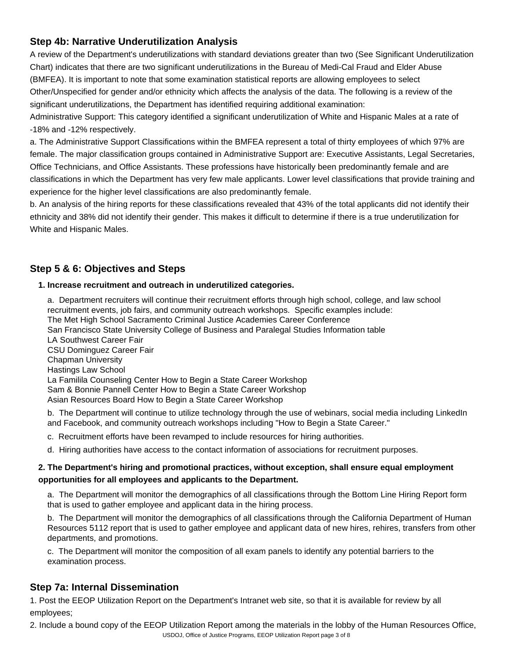# **Step 4b: Narrative Underutilization Analysis**

A review of the Department's underutilizations with standard deviations greater than two (See Significant Underutilization Chart) indicates that there are two significant underutilizations in the Bureau of Medi-Cal Fraud and Elder Abuse (BMFEA). It is important to note that some examination statistical reports are allowing employees to select Other/Unspecified for gender and/or ethnicity which affects the analysis of the data. The following is a review of the significant underutilizations, the Department has identified requiring additional examination:

Administrative Support: This category identified a significant underutilization of White and Hispanic Males at a rate of -18% and -12% respectively.

a. The Administrative Support Classifications within the BMFEA represent a total of thirty employees of which 97% are female. The major classification groups contained in Administrative Support are: Executive Assistants, Legal Secretaries, Office Technicians, and Office Assistants. These professions have historically been predominantly female and are classifications in which the Department has very few male applicants. Lower level classifications that provide training and experience for the higher level classifications are also predominantly female.

b. An analysis of the hiring reports for these classifications revealed that 43% of the total applicants did not identify their ethnicity and 38% did not identify their gender. This makes it difficult to determine if there is a true underutilization for White and Hispanic Males.

# **Step 5 & 6: Objectives and Steps**

#### **1. Increase recruitment and outreach in underutilized categories.**

a. Department recruiters will continue their recruitment efforts through high school, college, and law school recruitment events, job fairs, and community outreach workshops. Specific examples include: The Met High School Sacramento Criminal Justice Academies Career Conference San Francisco State University College of Business and Paralegal Studies Information table LA Southwest Career Fair CSU Dominguez Career Fair Chapman University Hastings Law School La Familila Counseling Center How to Begin a State Career Workshop Sam & Bonnie Pannell Center How to Begin a State Career Workshop Asian Resources Board How to Begin a State Career Workshop

b. The Department will continue to utilize technology through the use of webinars, social media including LinkedIn and Facebook, and community outreach workshops including "How to Begin a State Career."

- c. Recruitment efforts have been revamped to include resources for hiring authorities.
- d. Hiring authorities have access to the contact information of associations for recruitment purposes.

## **2. The Department's hiring and promotional practices, without exception, shall ensure equal employment opportunities for all employees and applicants to the Department.**

a. The Department will monitor the demographics of all classifications through the Bottom Line Hiring Report form that is used to gather employee and applicant data in the hiring process.

b. The Department will monitor the demographics of all classifications through the California Department of Human Resources 5112 report that is used to gather employee and applicant data of new hires, rehires, transfers from other departments, and promotions.

c. The Department will monitor the composition of all exam panels to identify any potential barriers to the examination process.

# **Step 7a: Internal Dissemination**

1. Post the EEOP Utilization Report on the Department's Intranet web site, so that it is available for review by all employees;

USDOJ, Office of Justice Programs, EEOP Utilization Report page 3 of 82. Include a bound copy of the EEOP Utilization Report among the materials in the lobby of the Human Resources Office,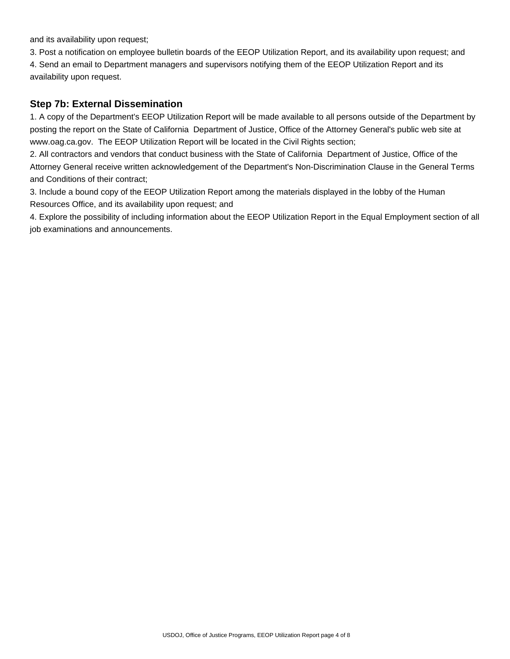and its availability upon request;

3. Post a notification on employee bulletin boards of the EEOP Utilization Report, and its availability upon request; and 4. Send an email to Department managers and supervisors notifying them of the EEOP Utilization Report and its availability upon request.

### **Step 7b: External Dissemination**

1. A copy of the Department's EEOP Utilization Report will be made available to all persons outside of the Department by posting the report on the State of California Department of Justice, Office of the Attorney General's public web site at www.oag.ca.gov. The EEOP Utilization Report will be located in the Civil Rights section;

2. All contractors and vendors that conduct business with the State of California Department of Justice, Office of the Attorney General receive written acknowledgement of the Department's Non-Discrimination Clause in the General Terms and Conditions of their contract;

3. Include a bound copy of the EEOP Utilization Report among the materials displayed in the lobby of the Human Resources Office, and its availability upon request; and

4. Explore the possibility of including information about the EEOP Utilization Report in the Equal Employment section of all job examinations and announcements.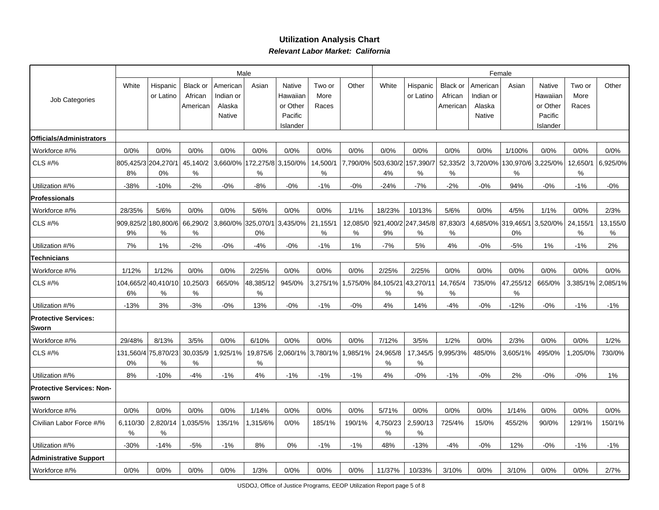### **Utilization Analysis Chart Relevant Labor Market: California**

|                                           |               |                           |                     |                       | Male                                |                                 |                  | Female        |                          |                          |                     |                       |                                     |                                 |                  |                   |
|-------------------------------------------|---------------|---------------------------|---------------------|-----------------------|-------------------------------------|---------------------------------|------------------|---------------|--------------------------|--------------------------|---------------------|-----------------------|-------------------------------------|---------------------------------|------------------|-------------------|
| Job Categories                            | White         | Hispanic<br>or Latino     | Black or<br>African | American<br>Indian or | Asian                               | Native<br>Hawaiian              | Two or<br>More   | Other         | White                    | Hispanic<br>or Latino    | Black or<br>African | American<br>Indian or | Asian                               | Native<br>Hawaiian              | Two or<br>More   | Other             |
|                                           |               |                           | American            | Alaska<br>Native      |                                     | or Other<br>Pacific<br>Islander | Races            |               |                          |                          | American            | Alaska<br>Native      |                                     | or Other<br>Pacific<br>Islander | Races            |                   |
| Officials/Administrators                  |               |                           |                     |                       |                                     |                                 |                  |               |                          |                          |                     |                       |                                     |                                 |                  |                   |
| Workforce #/%                             | 0/0%          | 0/0%                      | 0/0%                | 0/0%                  | 0/0%                                | 0/0%                            | 0/0%             | 0/0%          | 0/0%                     | 0/0%                     | 0/0%                | 0/0%                  | 1/100%                              | 0/0%                            | 0/0%             | 0/0%              |
| CLS #/%                                   | 8%            | 805,425/3 204,270/1<br>0% | 45,140/2<br>%       |                       | 3,660/0% 172,275/8 3,150/0%<br>$\%$ |                                 | 14,500/1<br>$\%$ |               | 7,790/0% 503,630/2<br>4% | 157,390/7<br>%           | 52,335/2<br>$\%$    |                       | 3,720/0% 130,970/6 3,225/0%<br>$\%$ |                                 | 12,650/1<br>$\%$ | 6,925/0%          |
| Utilization #/%                           | $-38%$        | $-10%$                    | $-2%$               | $-0%$                 | -8%                                 | $-0%$                           | $-1%$            | $-0%$         | $-24%$                   | $-7%$                    | $-2%$               | $-0%$                 | 94%                                 | $-0%$                           | $-1%$            | $-0\%$            |
| <b>Professionals</b>                      |               |                           |                     |                       |                                     |                                 |                  |               |                          |                          |                     |                       |                                     |                                 |                  |                   |
| Workforce #/%                             | 28/35%        | 5/6%                      | 0/0%                | 0/0%                  | 5/6%                                | 0/0%                            | 0/0%             | 1/1%          | 18/23%                   | 10/13%                   | 5/6%                | 0/0%                  | 4/5%                                | 1/1%                            | 0/0%             | 2/3%              |
| CLS #/%                                   | 9%            | 909.825/2 180.800/6 <br>% | 66,290/2<br>%       |                       | 3,860/0% 325,070/1<br>0%            | 3,435/0%                        | 21,155/1<br>%    | 12,085/0<br>% | 9%                       | 921,400/2 247,345/8<br>% | 87,830/3<br>$\%$    |                       | 4,685/0% 319,465/1<br>0%            | 3,520/0%                        | 24,155/1<br>%    | 13,155/0<br>℅     |
| Utilization #/%                           | 7%            | 1%                        | $-2%$               | $-0%$                 | $-4%$                               | $-0%$                           | $-1%$            | 1%            | $-7%$                    | 5%                       | 4%                  | $-0\%$                | $-5%$                               | 1%                              | $-1%$            | 2%                |
| Technicians                               |               |                           |                     |                       |                                     |                                 |                  |               |                          |                          |                     |                       |                                     |                                 |                  |                   |
| Workforce #/%                             | 1/12%         | 1/12%                     | 0/0%                | 0/0%                  | 2/25%                               | 0/0%                            | 0/0%             | 0/0%          | 2/25%                    | 2/25%                    | 0/0%                | 0/0%                  | 0/0%                                | 0/0%                            | 0/0%             | 0/0%              |
| CLS #/%                                   | 6%            | 104,665/2 40,410/10<br>%  | 10,250/3<br>℅       | 665/0%                | 48,385/12<br>%                      | 945/0%                          | 3,275/1%         |               | ,575/0% 84,105/21<br>%   | 43,270/11<br>%           | 14,765/4<br>%       | 735/0%                | 47,255/12<br>%                      | 665/0%                          |                  | 3,385/1% 2,085/1% |
| Utilization #/%                           | $-13%$        | 3%                        | $-3%$               | $-0%$                 | 13%                                 | $-0\%$                          | $-1%$            | $-0%$         | 4%                       | 14%                      | $-4%$               | $-0\%$                | $-12%$                              | $-0\%$                          | $-1%$            | -1%               |
| <b>Protective Services:</b><br>lSworn     |               |                           |                     |                       |                                     |                                 |                  |               |                          |                          |                     |                       |                                     |                                 |                  |                   |
| Workforce #/%                             | 29/48%        | 8/13%                     | 3/5%                | 0/0%                  | 6/10%                               | 0/0%                            | 0/0%             | 0/0%          | 7/12%                    | 3/5%                     | 1/2%                | 0/0%                  | 2/3%                                | 0/0%                            | 0/0%             | 1/2%              |
| CLS #/%                                   | 0%            | 131,560/4 75,870/23<br>%  | 30,035/9<br>%       | ,925/1%               | 19,875/6<br>%                       | 2,060/1%                        | 3,780/1%         | ,985/1%       | 24,965/8<br>%            | 17,345/5<br>$\%$         | 9,995/3%            | 485/0%                | 3,605/1%                            | 495/0%                          | ,205/0%          | 730/0%            |
| Utilization #/%                           | 8%            | $-10%$                    | $-4%$               | $-1%$                 | 4%                                  | $-1%$                           | $-1%$            | $-1%$         | 4%                       | $-0%$                    | $-1%$               | $-0%$                 | 2%                                  | $-0%$                           | $-0%$            | 1%                |
| <b>Protective Services: Non-</b><br>sworn |               |                           |                     |                       |                                     |                                 |                  |               |                          |                          |                     |                       |                                     |                                 |                  |                   |
| Workforce #/%                             | 0/0%          | 0/0%                      | 0/0%                | 0/0%                  | 1/14%                               | 0/0%                            | 0/0%             | 0/0%          | 5/71%                    | 0/0%                     | 0/0%                | 0/0%                  | 1/14%                               | 0/0%                            | 0/0%             | 0/0%              |
| Civilian Labor Force #/%                  | 6,110/30<br>% | 2,820/14<br>%             | .035/5%             | 135/1%                | .315/6%                             | 0/0%                            | 185/1%           | 190/1%        | 4,750/23<br>%            | 2,590/13<br>%            | 725/4%              | 15/0%                 | 455/2%                              | 90/0%                           | 129/1%           | 150/1%            |
| Utilization #/%                           | $-30%$        | $-14%$                    | $-5%$               | $-1%$                 | 8%                                  | 0%                              | $-1%$            | $-1%$         | 48%                      | $-13%$                   | $-4%$               | $-0%$                 | 12%                                 | $-0%$                           | $-1%$            | $-1%$             |
| <b>Administrative Support</b>             |               |                           |                     |                       |                                     |                                 |                  |               |                          |                          |                     |                       |                                     |                                 |                  |                   |
| Workforce #/%                             | 0/0%          | 0/0%                      | 0/0%                | 0/0%                  | 1/3%                                | 0/0%                            | 0/0%             | 0/0%          | 11/37%                   | 10/33%                   | 3/10%               | 0/0%                  | 3/10%                               | 0/0%                            | 0/0%             | 2/7%              |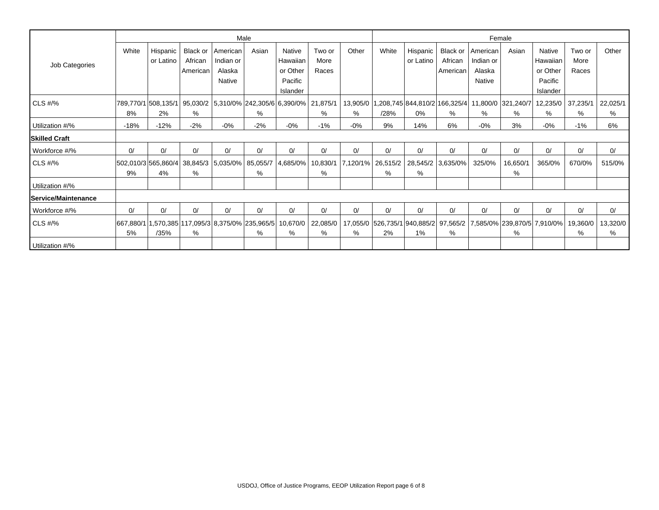|                             |           |                                                                         |                     |                       | Male  |                      |                | Female |       |                                                                                                                      |                     |                       |          |                      |                |          |
|-----------------------------|-----------|-------------------------------------------------------------------------|---------------------|-----------------------|-------|----------------------|----------------|--------|-------|----------------------------------------------------------------------------------------------------------------------|---------------------|-----------------------|----------|----------------------|----------------|----------|
|                             | White     | Hispanic<br>or Latino                                                   | Black or            | American<br>Indian or | Asian | Native               | Two or<br>More | Other  | White | Hispanic                                                                                                             | Black or<br>African | American<br>Indian or | Asian    | <b>Native</b>        | Two or<br>More | Other    |
| Job Categories              |           |                                                                         | African<br>American | Alaska                |       | Hawaiian<br>or Other | Races          |        |       | or Latino                                                                                                            | American            | Alaska                |          | Hawaiian<br>or Other | Races          |          |
|                             |           |                                                                         |                     | Native                |       | Pacific<br>Islander  |                |        |       |                                                                                                                      |                     | Native                |          | Pacific<br>Islander  |                |          |
| CLS #/%                     |           | 789,770/1 508,135/1  95,030/2  5,310/0%  242,305/6  6,390/0%   21,875/1 |                     |                       |       |                      |                |        |       | 13,905/0   1,208,745   844,810/2   166,325/4   11,800/0   321,240/7                                                  |                     |                       |          | 12,235/0             | 37,235/1       | 22,025/1 |
|                             | 8%        | 2%                                                                      | %                   |                       | %     |                      | %              | $\%$   | /28%  | 0%                                                                                                                   | %                   | %                     | %        | %                    | %              | %        |
| Utilization #/%             | $-18%$    | $-12%$                                                                  | $-2%$               | $-0\%$                | $-2%$ | $-0\%$               | -1%            | $-0%$  | 9%    | 14%                                                                                                                  | 6%                  | $-0%$                 | 3%       | $-0\%$               | $-1%$          | 6%       |
| <b>Skilled Craft</b>        |           |                                                                         |                     |                       |       |                      |                |        |       |                                                                                                                      |                     |                       |          |                      |                |          |
| Workforce #/%               | 0/        | 0/                                                                      | 0/                  | 0/                    | 0/    | 0/                   | 0/             | 0/     | 0/    | 0/                                                                                                                   | 0/                  | 0/                    | 0/       | 0/                   | 0/             | 0/       |
| CLS #/%                     |           |                                                                         |                     |                       |       |                      |                |        |       | 502,010/3 565,860/4  38,845/3   5,035/0%   85,055/7  4,685/0%   10,830/1   7,120/1%   26,515/2   28,545/2   3,635/0% |                     | 325/0%                | 16,650/1 | 365/0%               | 670/0%         | 515/0%   |
|                             | 9%        | 4%                                                                      | %                   |                       | %     |                      | %              |        | %     | $\%$                                                                                                                 |                     |                       | %        |                      |                |          |
| Utilization #/%             |           |                                                                         |                     |                       |       |                      |                |        |       |                                                                                                                      |                     |                       |          |                      |                |          |
| <b>IService/Maintenance</b> |           |                                                                         |                     |                       |       |                      |                |        |       |                                                                                                                      |                     |                       |          |                      |                |          |
| Workforce #/%               | 0/        | 0/                                                                      | 0/                  | 0/                    | 0/    | 0/                   | 0/             | 0/     | 0/    | 0/                                                                                                                   | 0/                  | 0/                    | 0/       | 0/                   | 0/             | 0/       |
| CLS #/%                     | 667.880/1 | 1,570,385 117,095/3 8,375/0% 235,965/5  10,670/0                        |                     |                       |       |                      | 22,085/0       |        |       | 17,055/0 526,735/1 940,885/2 97,565/2 7,585/0% 239,870/5 7,910/0%                                                    |                     |                       |          |                      | 19,360/0       | 13,320/0 |
|                             | 5%        | /35%                                                                    | %                   |                       | %     | %                    | %              | %      | 2%    | $1\%$                                                                                                                | %                   |                       | %        |                      | %              | %        |
| Utilization #/%             |           |                                                                         |                     |                       |       |                      |                |        |       |                                                                                                                      |                     |                       |          |                      |                |          |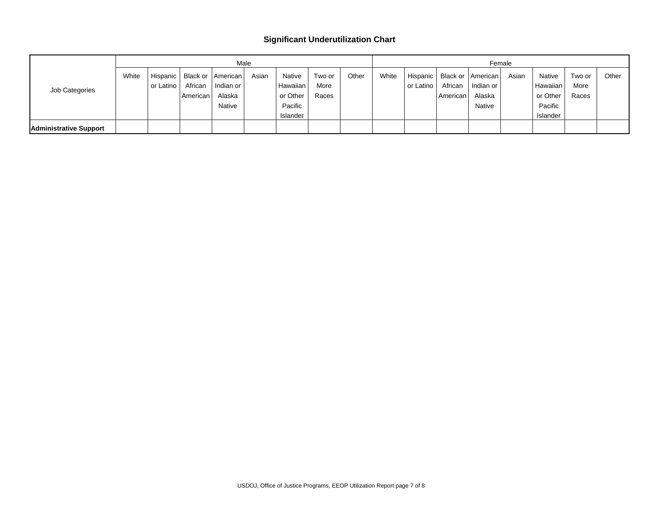#### **Significant Underutilization Chart**

|                        |       |           |          |                   | Male  |          |        |       |       |           |            | Female                         |       |          |        |       |  |
|------------------------|-------|-----------|----------|-------------------|-------|----------|--------|-------|-------|-----------|------------|--------------------------------|-------|----------|--------|-------|--|
|                        | White | Hispanic  |          | Black or American | Asian | Native   | Two or | Other | White |           |            | Hispanic   Black or   American | Asian | Native   | Two or | Other |  |
| Job Categories         |       | or Latino | African  | Indian or         |       | Hawaiian | More   |       |       | or Latino | African    | I Indian or                    |       | Hawaiian | More   |       |  |
|                        |       |           | American | Alaska            |       | or Other | Races  |       |       |           | American I | Alaska                         |       | or Other | Races  |       |  |
|                        |       |           |          | <b>Native</b>     |       | Pacific  |        |       |       |           |            | Native                         |       | Pacific  |        |       |  |
|                        |       |           |          |                   |       | Islander |        |       |       |           |            |                                |       | Islander |        |       |  |
| Administrative Support |       |           |          |                   |       |          |        |       |       |           |            |                                |       |          |        |       |  |